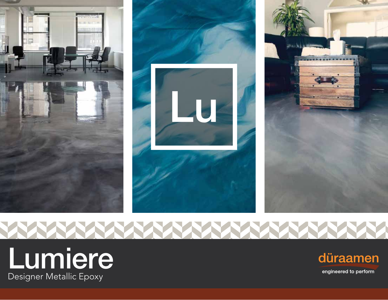

**NANA YA NA** 



**ENN** 



engineered to perform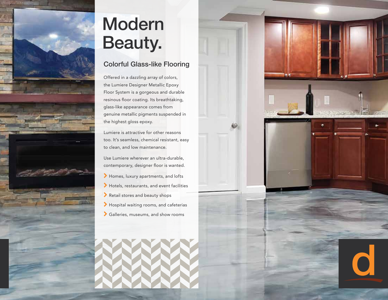

## Modern Beauty.

#### Colorful Glass-like Flooring

Offered in a dazzling array of colors, the Lumiere Designer Metallic Epoxy Floor System is a gorgeous and durable resinous floor coating. Its breathtaking, glass-like appearance comes from genuine metallic pigments suspended in the highest gloss epoxy.

Lumiere is attractive for other reasons too. It's seamless, chemical resistant, easy to clean, and low maintenance.

Use Lumiere wherever an ultra-durable, contemporary, designer floor is wanted.

- \ Homes, luxury apartments, and lofts
- \ Hotels, restaurants, and event facilities
- \ Retail stores and beauty shops
- \ Hospital waiting rooms, and cafeterias
- \ Galleries, museums, and show rooms



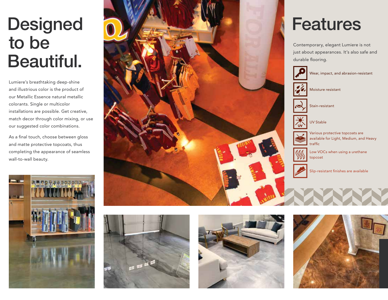# **Designed** to be Beautiful.

Lumiere's breathtaking deep-shine and illustrious color is the product of our Metallic Essence natural metallic colorants. Single or multicolor installations are possible. Get creative, match decor through color mixing, or use our suggested color combinations.

As a final touch, choose between gloss and matte protective topcoats, thus completing the appearance of seamless wall-to-wall beauty.









### Features Contemporary, elegant Lumiere is not

just about appearances. It's also safe and durable flooring.



Wear, impact, and abrasion-resistant



Moisture resistant

Stain-resistant



UV Stable

Various protective topcoats are available for Light, Medium, and Heavy traffic



Slip-resistant finishes are available